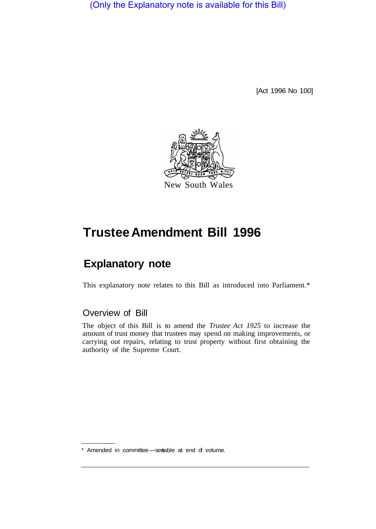(Only the Explanatory note is available for this Bill)

[Act 1996 No 100]



# **Trustee Amendment Bill 1996**

## **Explanatory note**

This explanatory note relates to this Bill as introduced into Parliament.\*

#### Overview of Bill

The object of this Bill is to amend the *Trustee Act 1925* to increase the amount of trust money that trustees may spend on making improvements, or carrying out repairs, relating to trust property without first obtaining the authority of the Supreme Court.

<sup>\*</sup> Amended in committee-see able at end of volume.